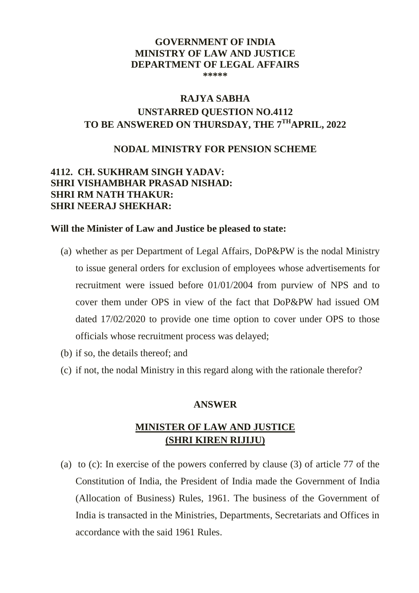#### **GOVERNMENT OF INDIA MINISTRY OF LAW AND JUSTICE DEPARTMENT OF LEGAL AFFAIRS \*\*\*\*\***

# **RAJYA SABHA UNSTARRED QUESTION NO.4112 TO BE ANSWERED ON THURSDAY, THE 7 THAPRIL, 2022**

### **NODAL MINISTRY FOR PENSION SCHEME**

## **4112. CH. SUKHRAM SINGH YADAV: SHRI VISHAMBHAR PRASAD NISHAD: SHRI RM NATH THAKUR: SHRI NEERAJ SHEKHAR:**

### **Will the Minister of Law and Justice be pleased to state:**

- (a) whether as per Department of Legal Affairs, DoP&PW is the nodal Ministry to issue general orders for exclusion of employees whose advertisements for recruitment were issued before 01/01/2004 from purview of NPS and to cover them under OPS in view of the fact that DoP&PW had issued OM dated 17/02/2020 to provide one time option to cover under OPS to those officials whose recruitment process was delayed;
- (b) if so, the details thereof; and
- (c) if not, the nodal Ministry in this regard along with the rationale therefor?

### **ANSWER**

## **MINISTER OF LAW AND JUSTICE (SHRI KIREN RIJIJU)**

(a) to (c): In exercise of the powers conferred by clause (3) of article 77 of the Constitution of India, the President of India made the Government of India (Allocation of Business) Rules, 1961. The business of the Government of India is transacted in the Ministries, Departments, Secretariats and Offices in accordance with the said 1961 Rules.